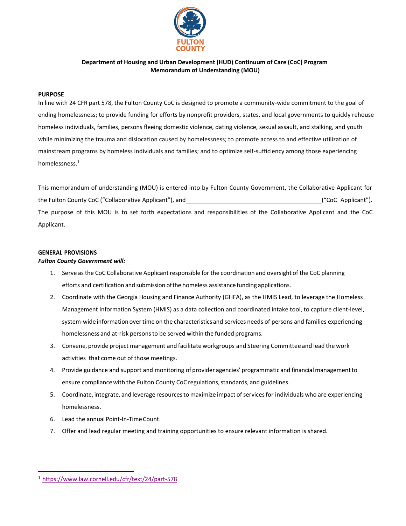

# **Department of Housing and Urban Development (HUD) Continuum of Care (CoC) Program Memorandum of Understanding (MOU)**

## **PURPOSE**

In line with 24 CFR part 578, the Fulton County CoC is designed to promote a community-wide commitment to the goal of ending homelessness; to provide funding for efforts by nonprofit providers, states, and local governments to quickly rehouse homeless individuals, families, persons fleeing domestic violence, dating violence, sexual assault, and stalking, and youth while minimizing the trauma and dislocation caused by homelessness; to promote access to and effective utilization of mainstream programs by homeless individuals and families; and to optimize self-sufficiency among those experiencing homelessness.[1](#page-0-0)

This memorandum of understanding (MOU) is entered into by Fulton County Government, the Collaborative Applicant for the Fulton County CoC ("Collaborative Applicant"), and ("CoC Applicant"). The purpose of this MOU is to set forth expectations and responsibilities of the Collaborative Applicant and the CoC Applicant.

# **GENERAL PROVISIONS**

### *Fulton County Government will:*

- 1. Serve as the CoC Collaborative Applicant responsible for the coordination and oversight of the CoC planning efforts and certification and submission ofthe homeless assistance funding applications.
- 2. Coordinate with the Georgia Housing and Finance Authority (GHFA), as the HMIS Lead, to leverage the Homeless Management Information System (HMIS) as a data collection and coordinated intake tool, to capture client-level, system-wide information overtime on the characteristicsand services needs of persons and families experiencing homelessness and at-risk personsto be served within the funded programs.
- 3. Convene, provide project management and facilitate workgroups and Steering Committee and lead the work activities that come out of those meetings.
- 4. Provide guidance and support and monitoring of provider agencies' programmatic and financial managementto ensure compliance with the Fulton County CoC regulations, standards, and guidelines.
- 5. Coordinate, integrate, and leverage resources to maximize impact of services for individuals who are experiencing homelessness.
- 6. Lead the annual Point-In-TimeCount.
- 7. Offer and lead regular meeting and training opportunities to ensure relevant information is shared.

<span id="page-0-0"></span><sup>1</sup> <https://www.law.cornell.edu/cfr/text/24/part-578>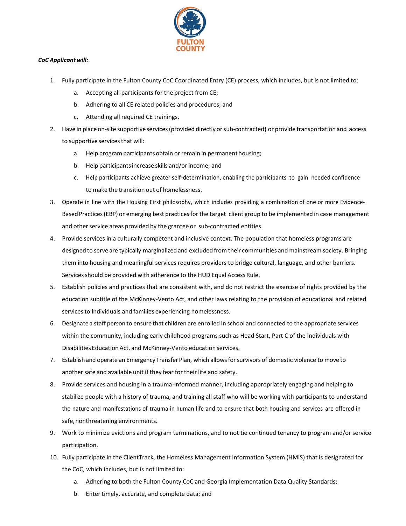

# *CoC Applicantwill:*

- 1. Fully participate in the Fulton County CoC Coordinated Entry (CE) process, which includes, but is not limited to:
	- a. Accepting all participants for the project from CE;
	- b. Adhering to all CE related policies and procedures; and
	- c. Attending all required CE trainings.
- 2. Have in place on-site supportive services (provided directly or sub-contracted) or provide transportation and access to supportive servicesthat will:
	- a. Help program participants obtain or remain in permanent housing;
	- b. Help participants increase skills and/or income; and
	- c. Help participants achieve greater self-determination, enabling the participants to gain needed confidence to make the transition out of homelessness.
- 3. Operate in line with the Housing First philosophy, which includes providing a combination of one or more Evidence-Based Practices (EBP) or emerging best practices for the target client group to be implemented in case management and other service areas provided by the grantee or sub-contracted entities.
- 4. Provide services in a culturally competent and inclusive context. The population that homeless programs are designed to serve are typically marginalized and excluded from their communities and mainstream society. Bringing them into housing and meaningful services requires providers to bridge cultural, language, and other barriers. Services should be provided with adherence to the HUD Equal Access Rule.
- 5. Establish policies and practices that are consistent with, and do not restrict the exercise of rights provided by the education subtitle of the McKinney-Vento Act, and other laws relating to the provision of educational and related services to individuals and families experiencing homelessness.
- 6. Designate a staff person to ensure that children are enrolled in school and connected to the appropriate services within the community, including early childhood programs such as Head Start, Part C of the Individuals with Disabilities Education Act, and McKinney-Vento education services.
- 7. Establish and operate an Emergency Transfer Plan, which allows for survivors of domestic violence to move to another safe and available unit if they fear for their life and safety.
- 8. Provide services and housing in a trauma-informed manner, including appropriately engaging and helping to stabilize people with a history of trauma, and training all staff who will be working with participants to understand the nature and manifestations of trauma in human life and to ensure that both housing and services are offered in safe, nonthreatening environments.
- 9. Work to minimize evictions and program terminations, and to not tie continued tenancy to program and/or service participation.
- 10. Fully participate in the ClientTrack, the Homeless Management Information System (HMIS) that is designated for the CoC, which includes, but is not limited to:
	- a. Adhering to both the Fulton County CoC and Georgia Implementation Data Quality Standards;
	- b. Enter timely, accurate, and complete data; and